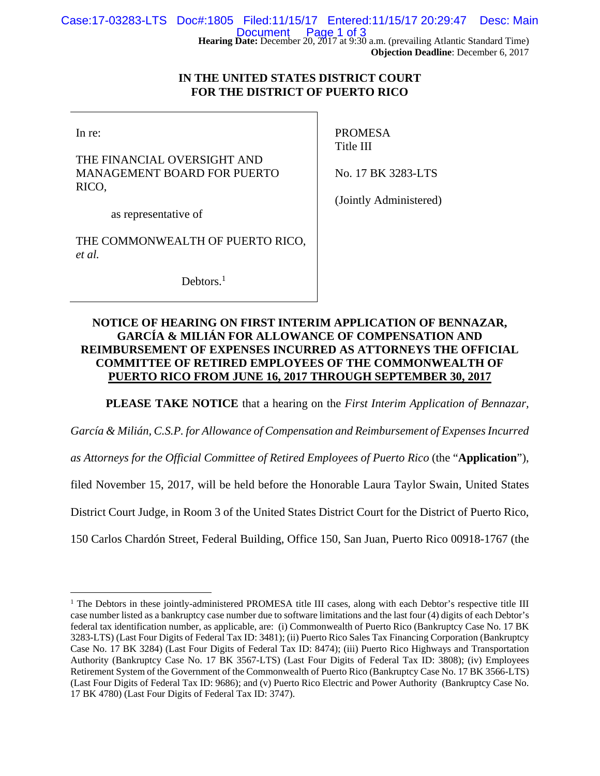### **Hearing Date:** December 20, 2017 at 9:30 a.m. (prevailing Atlantic Standard Time) Case:17-03283-LTS Doc#:1805 Filed:11/15/17 Entered:11/15/17 20:29:47 Desc: Main Document Page 1 of 3

**Objection Deadline**: December 6, 2017

## **IN THE UNITED STATES DISTRICT COURT FOR THE DISTRICT OF PUERTO RICO**

In re:

1

THE FINANCIAL OVERSIGHT AND MANAGEMENT BOARD FOR PUERTO RICO,

PROMESA Title III

No. 17 BK 3283-LTS

as representative of

THE COMMONWEALTH OF PUERTO RICO, *et al.*

Debtors.<sup>1</sup>

(Jointly Administered)

# **NOTICE OF HEARING ON FIRST INTERIM APPLICATION OF BENNAZAR, GARCÍA & MILIÁN FOR ALLOWANCE OF COMPENSATION AND REIMBURSEMENT OF EXPENSES INCURRED AS ATTORNEYS THE OFFICIAL COMMITTEE OF RETIRED EMPLOYEES OF THE COMMONWEALTH OF PUERTO RICO FROM JUNE 16, 2017 THROUGH SEPTEMBER 30, 2017**

**PLEASE TAKE NOTICE** that a hearing on the *First Interim Application of Bennazar,* 

*García & Milián, C.S.P. for Allowance of Compensation and Reimbursement of Expenses Incurred* 

*as Attorneys for the Official Committee of Retired Employees of Puerto Rico* (the "**Application**"),

filed November 15, 2017, will be held before the Honorable Laura Taylor Swain, United States

District Court Judge, in Room 3 of the United States District Court for the District of Puerto Rico,

150 Carlos Chardón Street, Federal Building, Office 150, San Juan, Puerto Rico 00918-1767 (the

<sup>&</sup>lt;sup>1</sup> The Debtors in these jointly-administered PROMESA title III cases, along with each Debtor's respective title III case number listed as a bankruptcy case number due to software limitations and the last four (4) digits of each Debtor's federal tax identification number, as applicable, are: (i) Commonwealth of Puerto Rico (Bankruptcy Case No. 17 BK 3283-LTS) (Last Four Digits of Federal Tax ID: 3481); (ii) Puerto Rico Sales Tax Financing Corporation (Bankruptcy Case No. 17 BK 3284) (Last Four Digits of Federal Tax ID: 8474); (iii) Puerto Rico Highways and Transportation Authority (Bankruptcy Case No. 17 BK 3567-LTS) (Last Four Digits of Federal Tax ID: 3808); (iv) Employees Retirement System of the Government of the Commonwealth of Puerto Rico (Bankruptcy Case No. 17 BK 3566-LTS) (Last Four Digits of Federal Tax ID: 9686); and (v) Puerto Rico Electric and Power Authority (Bankruptcy Case No. 17 BK 4780) (Last Four Digits of Federal Tax ID: 3747).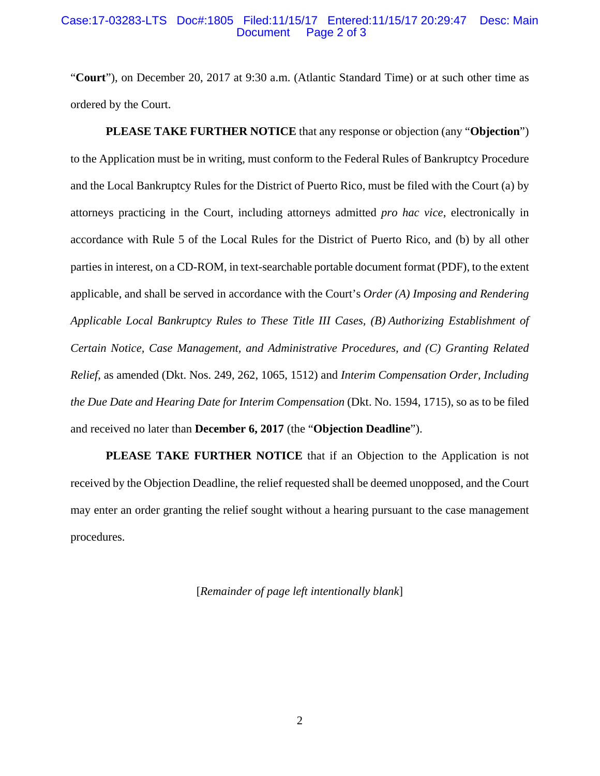#### Case:17-03283-LTS Doc#:1805 Filed:11/15/17 Entered:11/15/17 20:29:47 Desc: Main Page 2 of 3

"**Court**"), on December 20, 2017 at 9:30 a.m. (Atlantic Standard Time) or at such other time as ordered by the Court.

**PLEASE TAKE FURTHER NOTICE** that any response or objection (any "**Objection**") to the Application must be in writing, must conform to the Federal Rules of Bankruptcy Procedure and the Local Bankruptcy Rules for the District of Puerto Rico, must be filed with the Court (a) by attorneys practicing in the Court, including attorneys admitted *pro hac vice*, electronically in accordance with Rule 5 of the Local Rules for the District of Puerto Rico, and (b) by all other parties in interest, on a CD-ROM, in text-searchable portable document format (PDF), to the extent applicable, and shall be served in accordance with the Court's *Order (A) Imposing and Rendering Applicable Local Bankruptcy Rules to These Title III Cases, (B) Authorizing Establishment of Certain Notice, Case Management, and Administrative Procedures, and (C) Granting Related Relief*, as amended (Dkt. Nos. 249, 262, 1065, 1512) and *Interim Compensation Order, Including the Due Date and Hearing Date for Interim Compensation* (Dkt. No. 1594, 1715), so as to be filed and received no later than **December 6, 2017** (the "**Objection Deadline**").

**PLEASE TAKE FURTHER NOTICE** that if an Objection to the Application is not received by the Objection Deadline, the relief requested shall be deemed unopposed, and the Court may enter an order granting the relief sought without a hearing pursuant to the case management procedures.

[*Remainder of page left intentionally blank*]